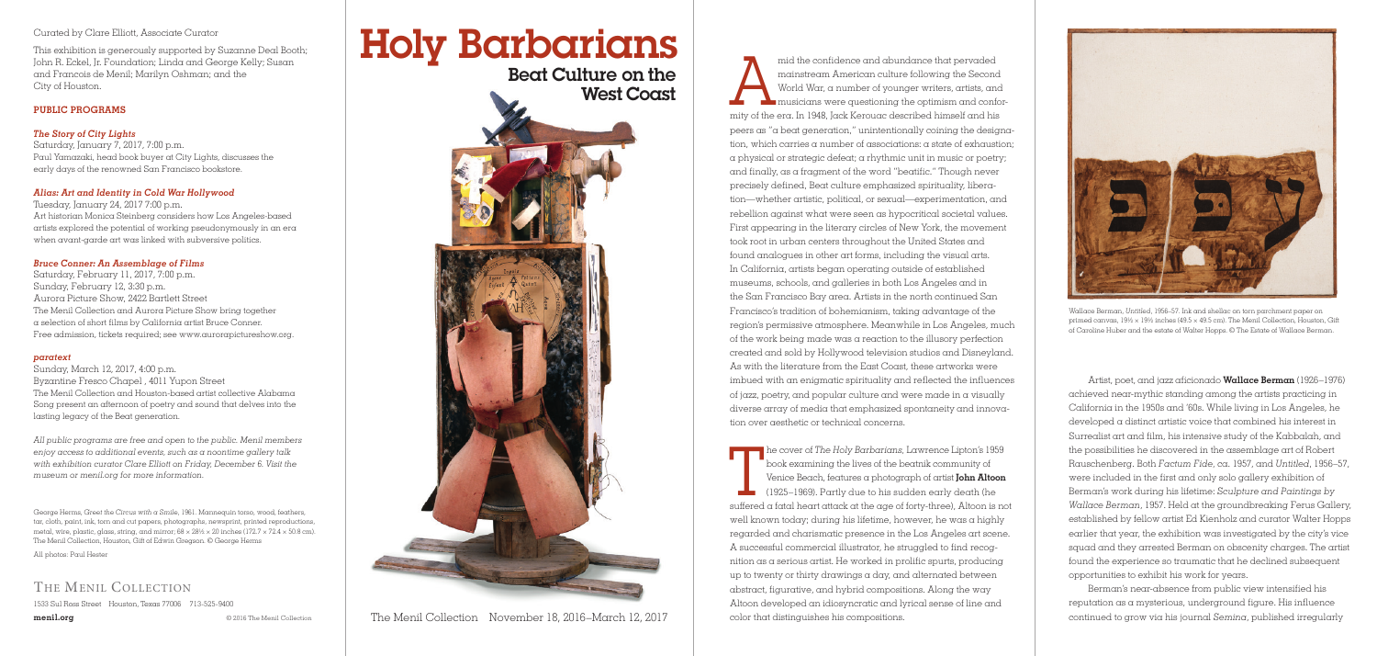mid the confidence and abundance that pervaded<br>mainstream American culture following the Second<br>World War, a number of younger writers, artists, an<br>musicians were questioning the optimism and confi<br>mity of the era. In 1948 mainstream American culture following the Second World War, a number of younger writers, artists, and musicians were questioning the optimism and conformity of the era. In 1948, Jack Kerouac described himself and his peers as "a beat generation," unintentionally coining the designation, which carries a number of associations: a state of exhaustion; a physical or strategic defeat; a rhythmic unit in music or poetry; and finally, as a fragment of the word "beatific." Though never precisely defined, Beat culture emphasized spirituality, liberation—whether artistic, political, or sexual—experimentation, and rebellion against what were seen as hypocritical societal values. First appearing in the literary circles of New York, the movement took root in urban centers throughout the United States and found analogues in other art forms, including the visual arts. In California, artists began operating outside of established museums, schools, and galleries in both Los Angeles and in the San Francisco Bay area. Artists in the north continued San Francisco's tradition of bohemianism, taking advantage of the region's permissive atmosphere. Meanwhile in Los Angeles, much of the work being made was a reaction to the illusory perfection created and sold by Hollywood television studios and Disneyland. As with the literature from the East Coast, these artworks were imbued with an enigmatic spirituality and reflected the influences of jazz, poetry, and popular culture and were made in a visually diverse array of media that emphasized spontaneity and innovation over aesthetic or technical concerns.

The cover of *The Holy Barbarians*, Lawrence Lipton's 1959<br>book examining the lives of the beatnik community of<br>Venice Beach, features a photograph of artist **John Altoon**<br>(1925–1969). Partly due to his sudden early death he cover of *The Holy Barbarians,* Lawrence Lipton's 1959 book examining the lives of the beatnik community of Venice Beach, features a photograph of artist **John Altoon** (1925–1969). Partly due to his sudden early death (he well known today; during his lifetime, however, he was a highly regarded and charismatic presence in the Los Angeles art scene. A successful commercial illustrator, he struggled to find recognition as a serious artist. He worked in prolific spurts, producing up to twenty or thirty drawings a day, and alternated between abstract, figurative, and hybrid compositions. Along the way Altoon developed an idiosyncratic and lyrical sense of line and color that distinguishes his compositions.

Artist, poet, and jazz aficionado **Wallace Berman** (1926–1976) achieved near-mythic standing among the artists practicing in California in the 1950s and '60s. While living in Los Angeles, he developed a distinct artistic voice that combined his interest in Surrealist art and film, his intensive study of the Kabbalah, and the possibilities he discovered in the assemblage art of Robert Rauschenberg. Both *Factum Fide,* ca. 1957, and *Untitled*, 1956–57, were included in the first and only solo gallery exhibition of Berman's work during his lifetime: *Sculpture and Paintings by Wallace Berman*, 1957. Held at the groundbreaking Ferus Gallery, established by fellow artist Ed Kienholz and curator Walter Hopps earlier that year, the exhibition was investigated by the city's vice squad and they arrested Berman on obscenity charges. The artist found the experience so traumatic that he declined subsequent opportunities to exhibit his work for years.

Berman's near-absence from public view intensified his reputation as a mysterious, underground figure. His influence continued to grow via his journal *Semina*, published irregularly

George Herms, *Greet the Circus with a Smile*, 1961. Mannequin torso, wood, feathers, tar, cloth, paint, ink, torn and cut papers, photographs, newsprint, printed reproductions, metal, wire, plastic, glass, string, and mirror;  $68 \times 28\% \times 20$  inches (172.7  $\times$  72.4  $\times$  50.8 cm). The Menil Collection, Houston, Gift of Edwin Gregson. © George Herms

All photos: Paul Hester

# THE MENIL COLLECTION

1533 Sul Ross Street Houston, Texas 77006 713-525-9400

**menil.org** © 2016 The Menil Collection



Wallace Berman, *Untitled*, 1956–57. Ink and shellac on torn parchment paper on primed canvas, 19½ × 19½ inches (49.5 × 49.5 cm). The Menil Collection, Houston, Gift of Caroline Huber and the estate of Walter Hopps. © The Estate of Wallace Berman.

#### Curated by Clare Elliott, Associate Curator

This exhibition is generously supported by Suzanne Deal Booth; John R. Eckel, Jr. Foundation; Linda and George Kelly; Susan and Francois de Menil; Marilyn Oshman; and the City of Houston.

# **PUBLIC PROGRAMS**

### *The Story of City Lights* Saturday, January 7, 2017, 7:00 p.m. Paul Yamazaki, head book buyer at City Lights, discusses the

early days of the renowned San Francisco bookstore.

# *Alias: Art and Identity in Cold War Hollywood*

Tuesday, January 24, 2017 7:00 p.m. Art historian Monica Steinberg considers how Los Angeles-based artists explored the potential of working pseudonymously in an era when avant-garde art was linked with subversive politics.

# *Bruce Conner: An Assemblage of Films*

Saturday, February 11, 2017, 7:00 p.m. Sunday, February 12, 3:30 p.m. Aurora Picture Show, 2422 Bartlett Street The Menil Collection and Aurora Picture Show bring together a selection of short films by California artist Bruce Conner. Free admission, tickets required; see www.aurorapictureshow.org.

### *paratext*

Sunday, March 12, 2017, 4:00 p.m. Byzantine Fresco Chapel , 4011 Yupon Street The Menil Collection and Houston-based artist collective Alabama Song present an afternoon of poetry and sound that delves into the lasting legacy of the Beat generation.

*All public programs are free and open to the public. Menil members enjoy access to additional events, such as a noontime gallery talk with exhibition curator Clare Elliott on Friday, December 6. Visit the museum or menil.org for more information.*

The Menil Collection November 18, 2016–March 12, 2017